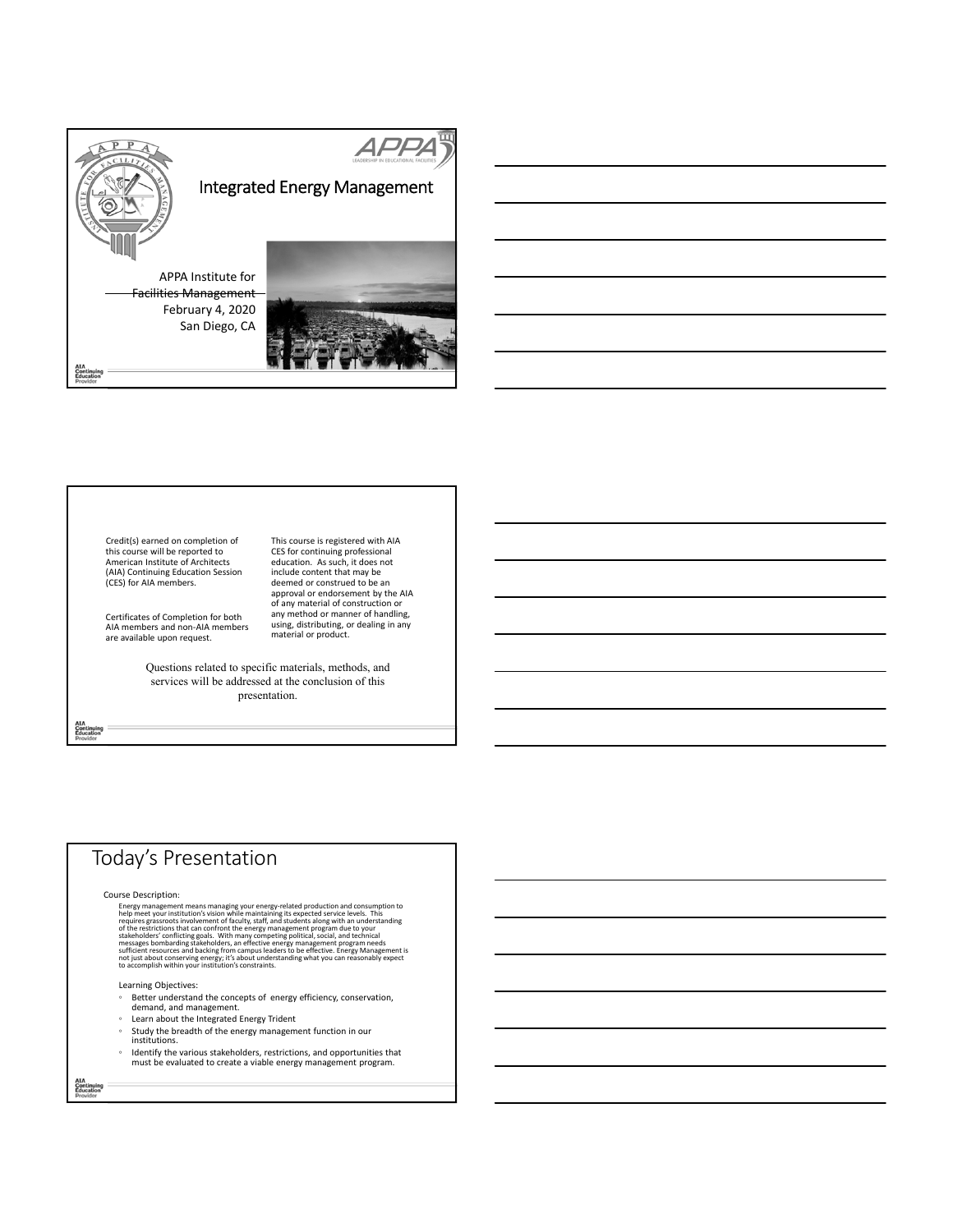

Credit(s) earned on completion of this course will be reported to American Institute of Architects (AIA) Continuing Education Session (CES) for AIA members.

Certificates of Completion for both AIA members and non‐AIA members are available upon request.

This course is registered with AIA CES for continuing professional education. As such, it does not include content that may be deemed or construed to be an approval or endorsement by the AIA of any material of construction or any method or manner of handling, using, distributing, or dealing in any material or product.

Questions related to specific materials, methods, and services will be addressed at the conclusion of this presentation.

# Today's Presentation

Course Description:

IFSE Decoration and consumption to help meet the meet production and consumption to help meet your institution's vision while maintaining its expected service levels. This requires grassroots involvement of faculty, starf,

Learning Objectives:

- Better understand the concepts of energy efficiency, conservation, demand, and management.
- Learn about the Integrated Energy Trident
- Study the breadth of the energy management function in our institutions.
- Identify the various stakeholders, restrictions, and opportunities that must be evaluated to create <sup>a</sup> viable energy management program.

AIA<br>Continuing<br>Education

AIA<br>Continuing<br>Education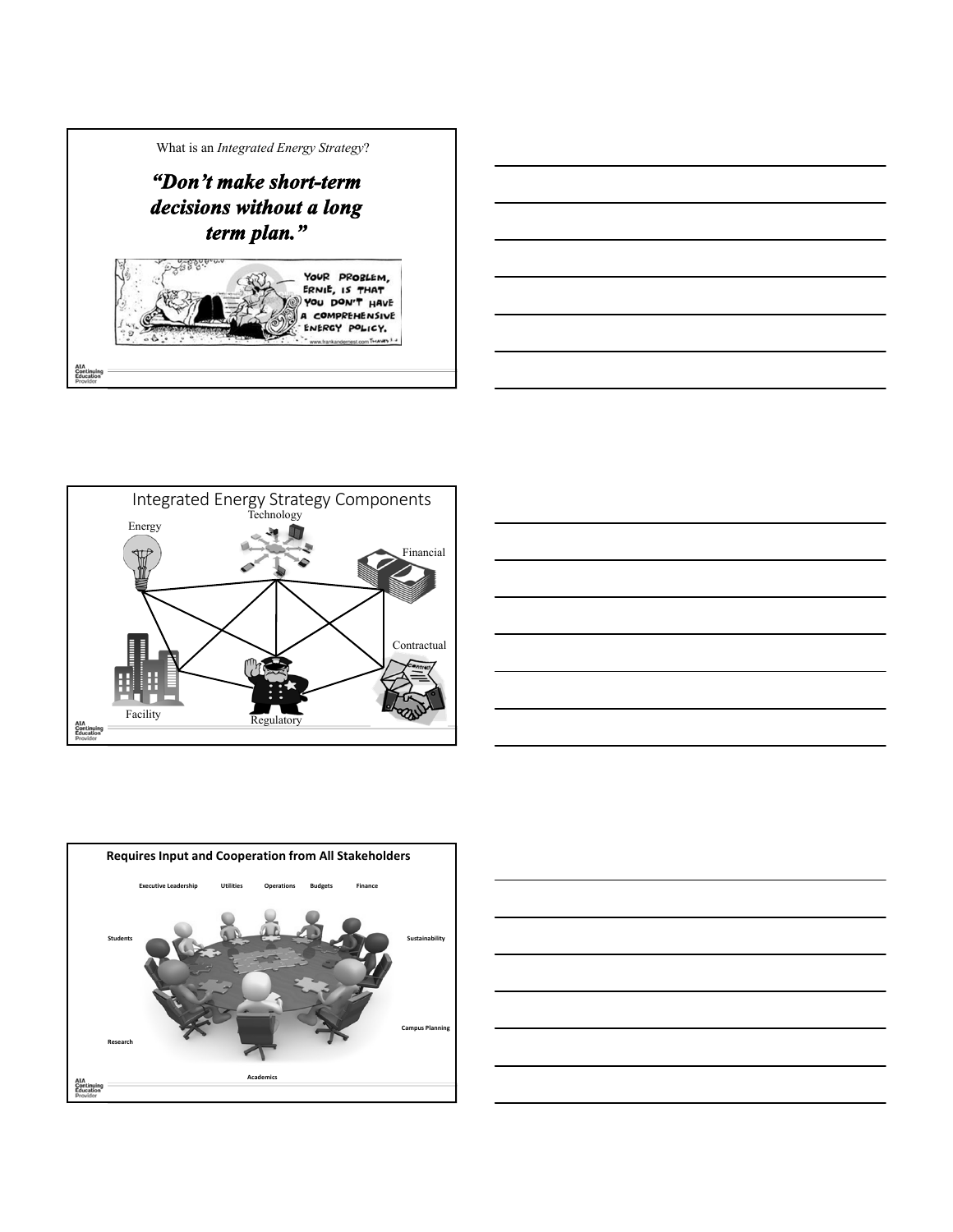









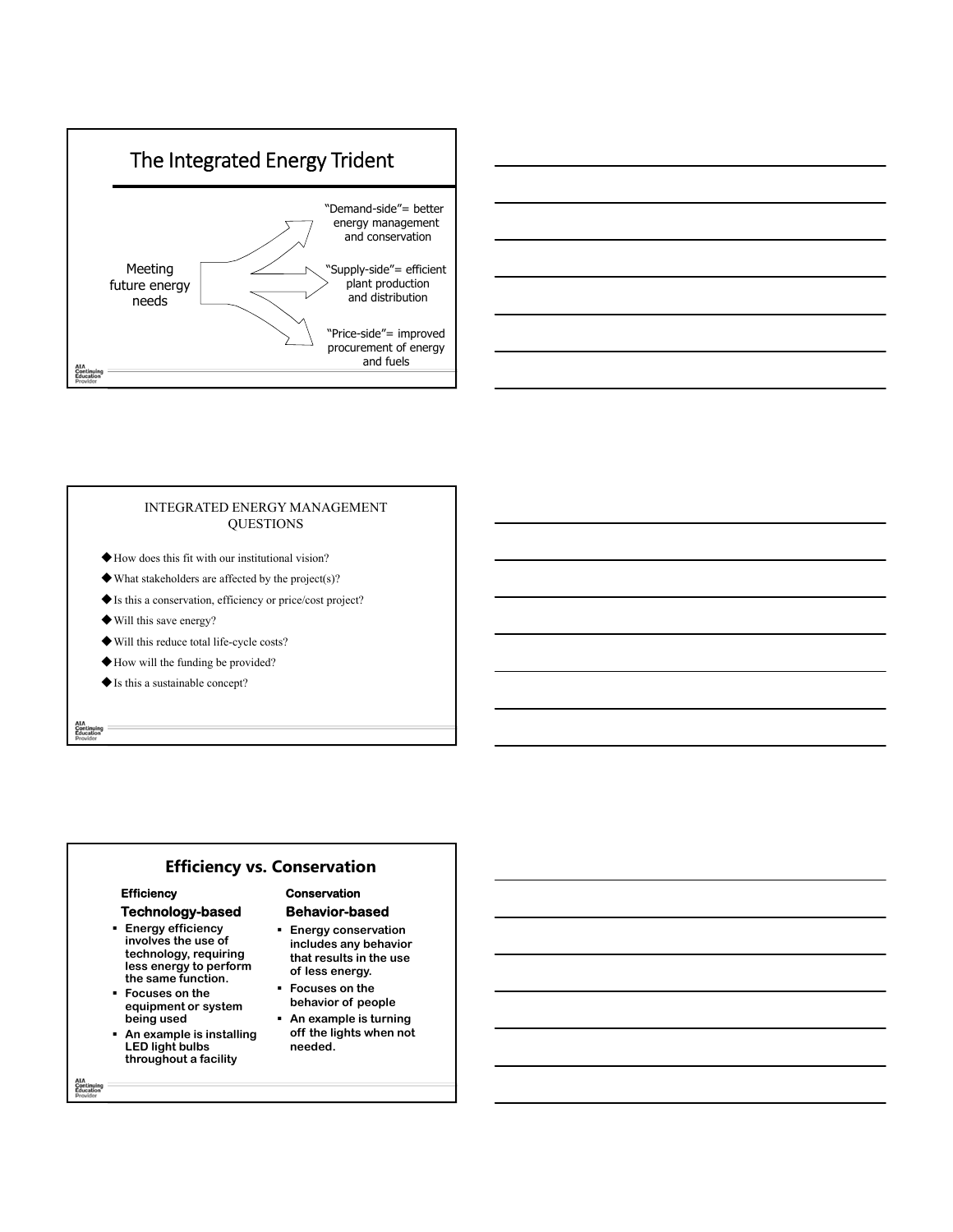



### INTEGRATED ENERGY MANAGEMENT **QUESTIONS**

- How does this fit with our institutional vision?
- $\blacklozenge$  What stakeholders are affected by the project(s)?
- Is this a conservation, efficiency or price/cost project?
- Will this save energy?
- Will this reduce total life-cycle costs?
- How will the funding be provided?
- Is this a sustainable concept?

# **Efficiency vs. Conservation**

## **Efficiency**

## **Technology-based**

- **Energy efficiency involves the use of technology, requiring less energy to perform the same function.**
- **Focuses on the equipment or system being used**
- **An example is installing LED light bulbs throughout a facility**

### **Conservation Behavior-based**

- **Energy conservation includes any behavior that results in the use of less energy.**
- **Focuses on the behavior of people**
- **An example is turning off the lights when not needed.**

AIA<br>Continuing<br>Education

AIA<br>Continuing<br>Education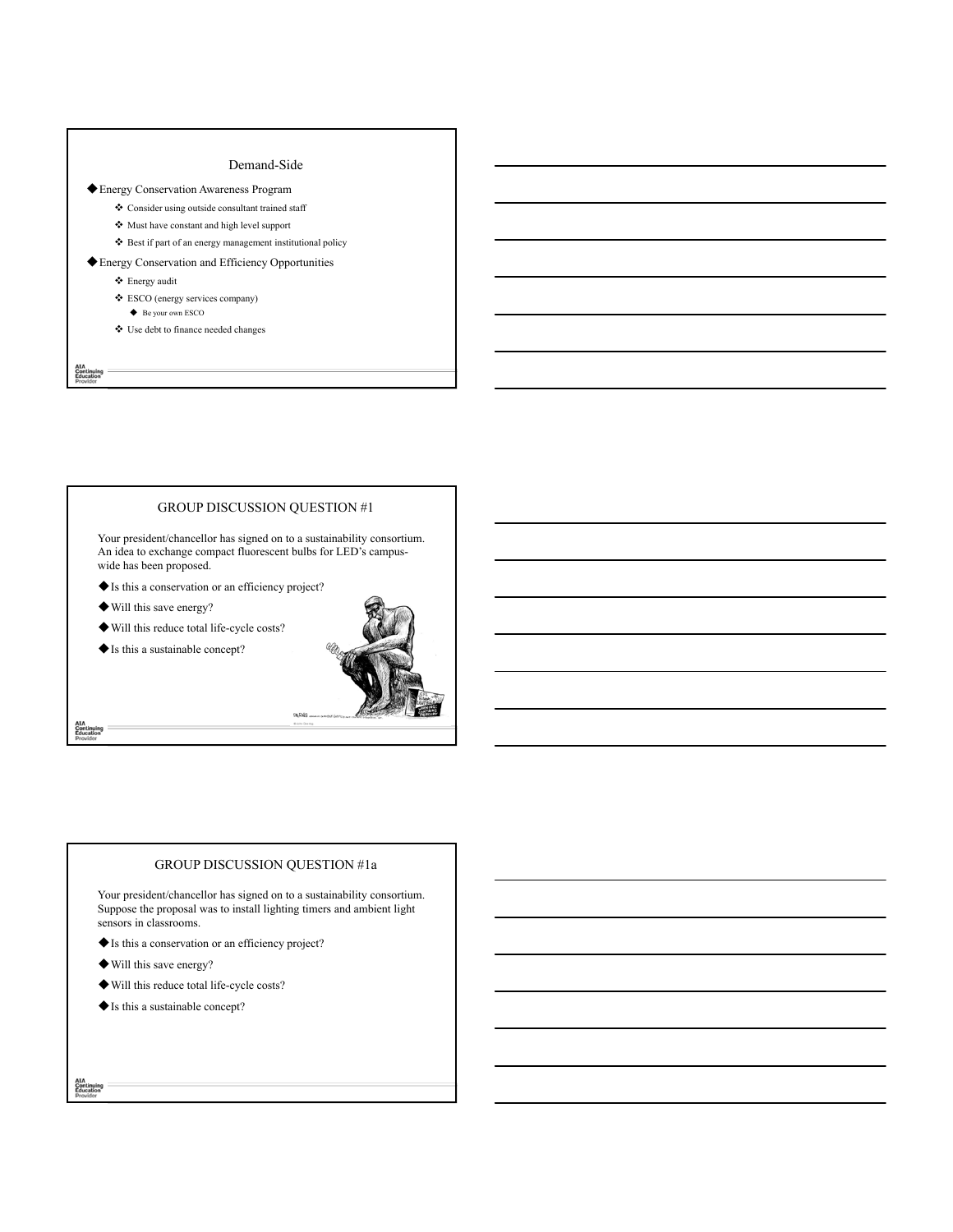### Demand-Side

### Energy Conservation Awareness Program

- Consider using outside consultant trained staff
- Must have constant and high level support
- Best if part of an energy management institutional policy

#### Energy Conservation and Efficiency Opportunities

- $\boldsymbol{\div}$  Energy audit
- $\clubsuit$ ESCO (energy services company)
- ◆ Be your own ESCO
- Use debt to finance needed changes

AIA<br>Continuing<br>Education

AIA<br>Continuing<br>Education

AIA<br>Continuing<br>Education

### GROUP DISCUSSION QUESTION #1

Your president/chancellor has signed on to a sustainability consortium. An idea to exchange compact fluorescent bulbs for LED's campuswide has been proposed.

- Is this a conservation or an efficiency project?
- Will this save energy?

Will this reduce total life-cycle costs?

Is this a sustainable concept?



# GROUP DISCUSSION QUESTION #1a

Your president/chancellor has signed on to a sustainability consortium. Suppose the proposal was to install lighting timers and ambient light sensors in classrooms.

- Is this a conservation or an efficiency project?
- Will this save energy?
- Will this reduce total life-cycle costs?
- Is this a sustainable concept?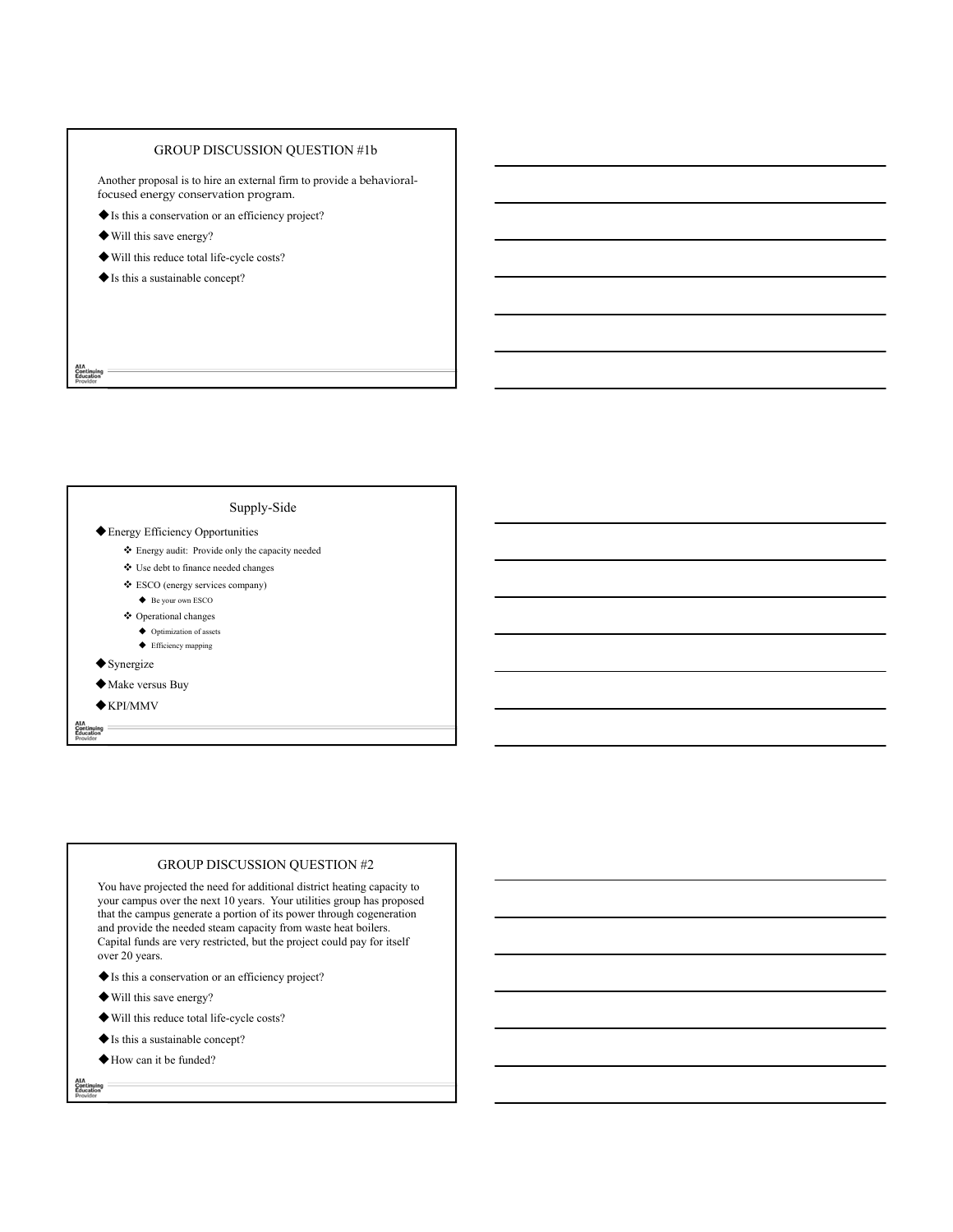# GROUP DISCUSSION QUESTION #1b

Another proposal is to hire an external firm to provide a behavioralfocused energy conservation program.

- Is this a conservation or an efficiency project?
- Will this save energy?
- Will this reduce total life-cycle costs?
- Is this a sustainable concept?

AIA<br>Continuing<br>Education

### Supply-Side

#### Energy Efficiency Opportunities

- Energy audit: Provide only the capacity needed
- Use debt to finance needed changes
- ESCO (energy services company)
	- ◆ Be your own ESCO
- Operational changes
	- $\blacklozenge$  Optimization of assets ◆ Efficiency mapping
- $\blacklozenge$  Synergize
- 
- Make versus Buy  $\bigstar$ KPI/MMV

Continuing<br>Education

# GROUP DISCUSSION QUESTION #2

You have projected the need for additional district heating capacity to your campus over the next 10 years. Your utilities group has proposed that the campus generate a portion of its power through cogeneration and provide the needed steam capacity from waste heat boilers. Capital funds are very restricted, but the project could pay for itself over 20 years.

- Is this a conservation or an efficiency project?
- Will this save energy?
- Will this reduce total life-cycle costs?
- $\blacklozenge$  Is this a sustainable concept?
- How can it be funded?

AIA<br>Continuing<br>Education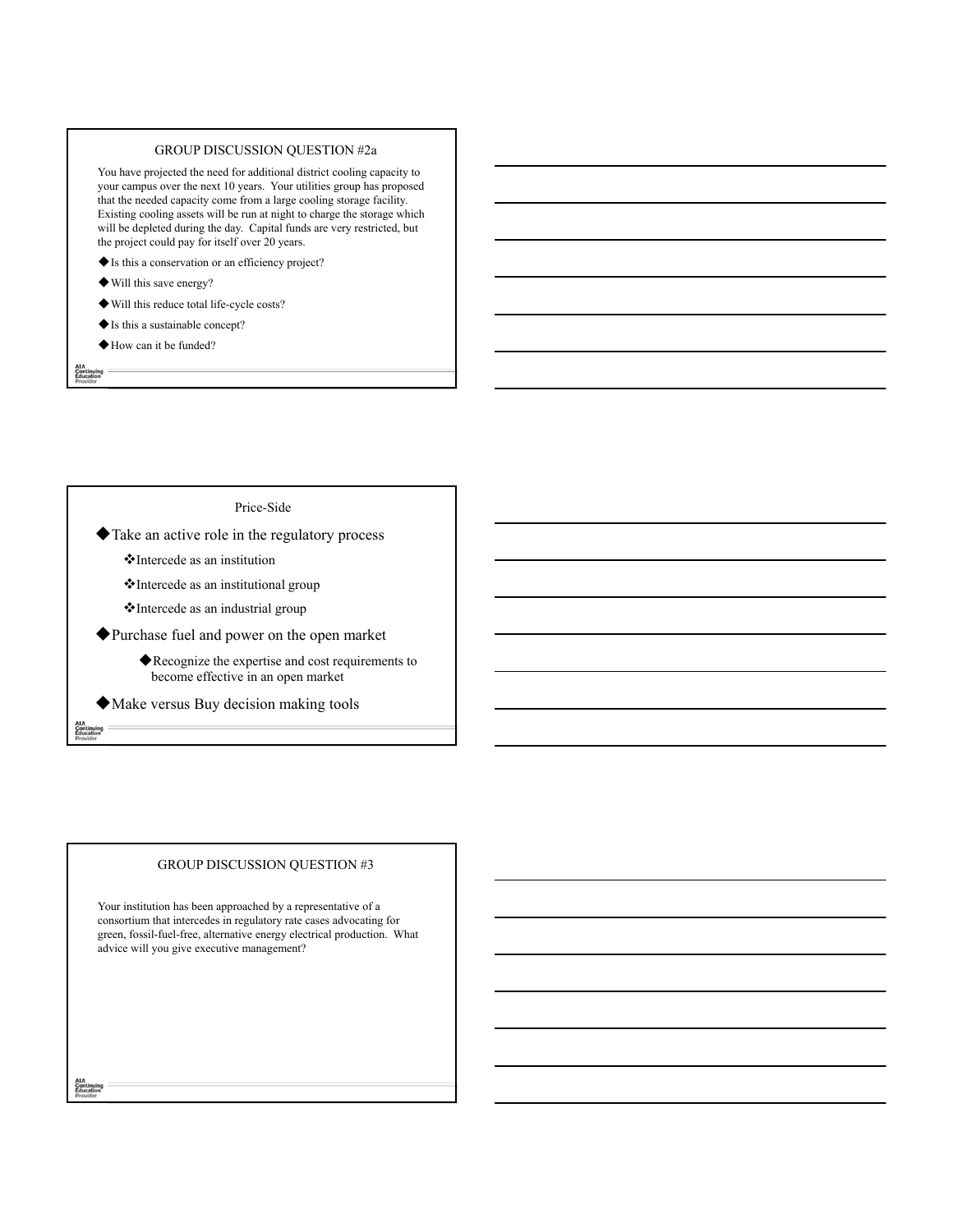#### GROUP DISCUSSION QUESTION #2a

You have projected the need for additional district cooling capacity to your campus over the next 10 years. Your utilities group has proposed that the needed capacity come from a large cooling storage facility. Existing cooling assets will be run at night to charge the storage which will be depleted during the day. Capital funds are very restricted, but the project could pay for itself over 20 years.

Is this a conservation or an efficiency project?

- Will this save energy?
- Will this reduce total life-cycle costs?
- Is this a sustainable concept?

How can it be funded?

AIA<br>Continuing<br>Education

### Price-Side

Take an active role in the regulatory process

Intercede as an institution

Intercede as an institutional group

Intercede as an industrial group

Purchase fuel and power on the open market

Recognize the expertise and cost requirements to become effective in an open market

Make versus Buy decision making tools

### GROUP DISCUSSION QUESTION #3

Your institution has been approached by a representative of a consortium that intercedes in regulatory rate cases advocating for green, fossil-fuel-free, alternative energy electrical production. What advice will you give executive management?

AIA<br>Continuing<br>Education

Continuing<br>Education